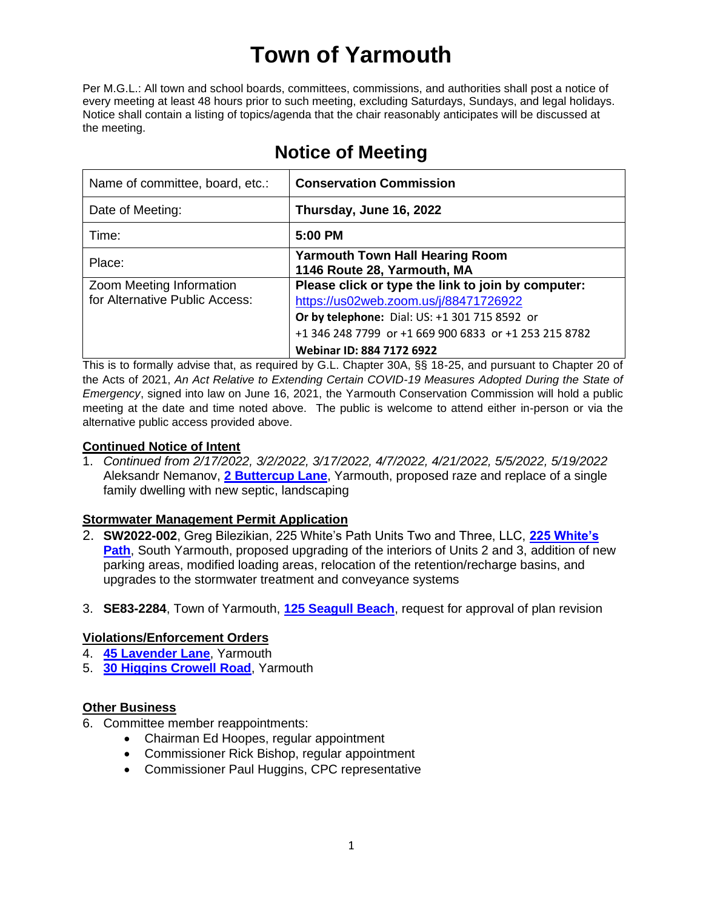# **Town of Yarmouth**

Per M.G.L.: All town and school boards, committees, commissions, and authorities shall post a notice of every meeting at least 48 hours prior to such meeting, excluding Saturdays, Sundays, and legal holidays. Notice shall contain a listing of topics/agenda that the chair reasonably anticipates will be discussed at the meeting.

| Name of committee, board, etc.:                            | <b>Conservation Commission</b>                                                                                                                                                                                                     |
|------------------------------------------------------------|------------------------------------------------------------------------------------------------------------------------------------------------------------------------------------------------------------------------------------|
| Date of Meeting:                                           | Thursday, June 16, 2022                                                                                                                                                                                                            |
| Time:                                                      | 5:00 PM                                                                                                                                                                                                                            |
| Place:                                                     | <b>Yarmouth Town Hall Hearing Room</b><br>1146 Route 28, Yarmouth, MA                                                                                                                                                              |
| Zoom Meeting Information<br>for Alternative Public Access: | Please click or type the link to join by computer:<br>https://us02web.zoom.us/j/88471726922<br>Or by telephone: Dial: US: +1 301 715 8592 or<br>+1 346 248 7799 or +1 669 900 6833 or +1 253 215 8782<br>Webinar ID: 884 7172 6922 |

## **Notice of Meeting**

This is to formally advise that, as required by G.L. Chapter 30A, §§ 18-25, and pursuant to Chapter 20 of the Acts of 2021, *An Act Relative to Extending Certain COVID-19 Measures Adopted During the State of Emergency*, signed into law on June 16, 2021, the Yarmouth Conservation Commission will hold a public meeting at the date and time noted above. The public is welcome to attend either in-person or via the alternative public access provided above.

### **Continued Notice of Intent**

1. *Continued from 2/17/2022, 3/2/2022, 3/17/2022, 4/7/2022, 4/21/2022, 5/5/2022, 5/19/2022* Aleksandr Nemanov, **[2 Buttercup Lane](https://lf.yarmouth.ma.us/WebLink/Browse.aspx?id=1641009&dbid=0&repo=LASERFICHE)**, Yarmouth, proposed raze and replace of a single family dwelling with new septic, landscaping

### **Stormwater Management Permit Application**

- 2. **SW2022-002**, Greg Bilezikian, 225 White's Path Units Two and Three, LLC, **[225 White's](https://lf.yarmouth.ma.us/WebLink/Browse.aspx?id=1658566&dbid=0&repo=LASERFICHE)  [Path](https://lf.yarmouth.ma.us/WebLink/Browse.aspx?id=1658566&dbid=0&repo=LASERFICHE)**, South Yarmouth, proposed upgrading of the interiors of Units 2 and 3, addition of new parking areas, modified loading areas, relocation of the retention/recharge basins, and upgrades to the stormwater treatment and conveyance systems
- 3. **SE83-2284**, Town of Yarmouth, **[125 Seagull Beach](https://lf.yarmouth.ma.us/WebLink/Browse.aspx?id=1593399&dbid=0&repo=LASERFICHE)**, request for approval of plan revision

### **Violations/Enforcement Orders**

- 4. **[45 Lavender Lane](https://lf.yarmouth.ma.us/WebLink/Browse.aspx?id=1661110&dbid=0&repo=LASERFICHE)**, Yarmouth
- 5. **[30 Higgins Crowell Road](https://lf.yarmouth.ma.us/WebLink/Browse.aspx?id=1665469&dbid=0&repo=LASERFICHE)**, Yarmouth

### **Other Business**

- 6. Committee member reappointments:
	- Chairman Ed Hoopes, regular appointment
	- Commissioner Rick Bishop, regular appointment
	- Commissioner Paul Huggins, CPC representative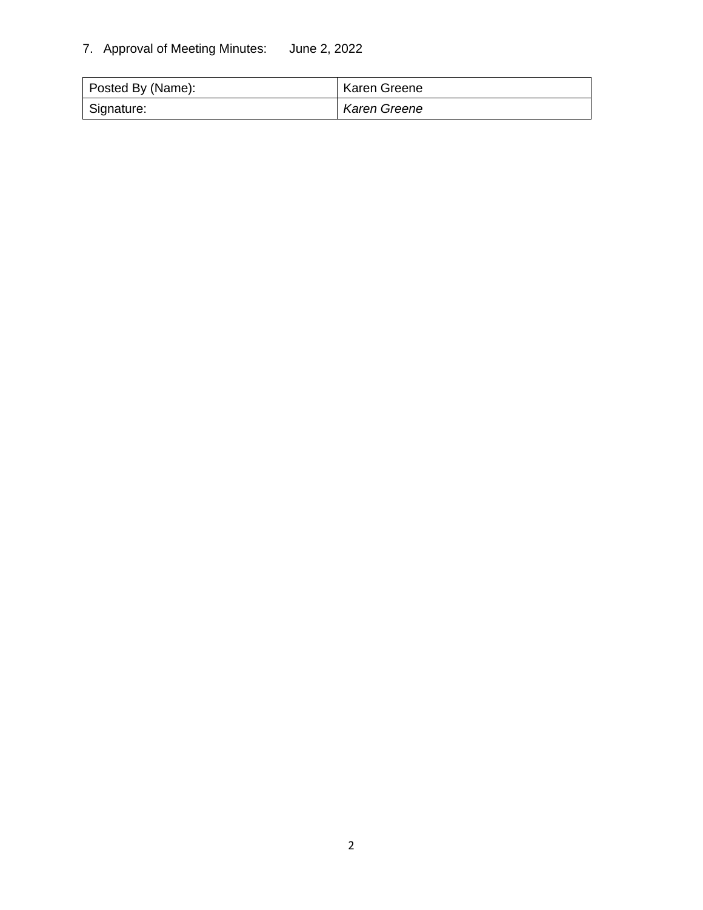### 7. Approval of Meeting Minutes: June 2, 2022

| Posted By (Name): | <b>Karen Greene</b> |
|-------------------|---------------------|
| Signature:        | Karen Greene        |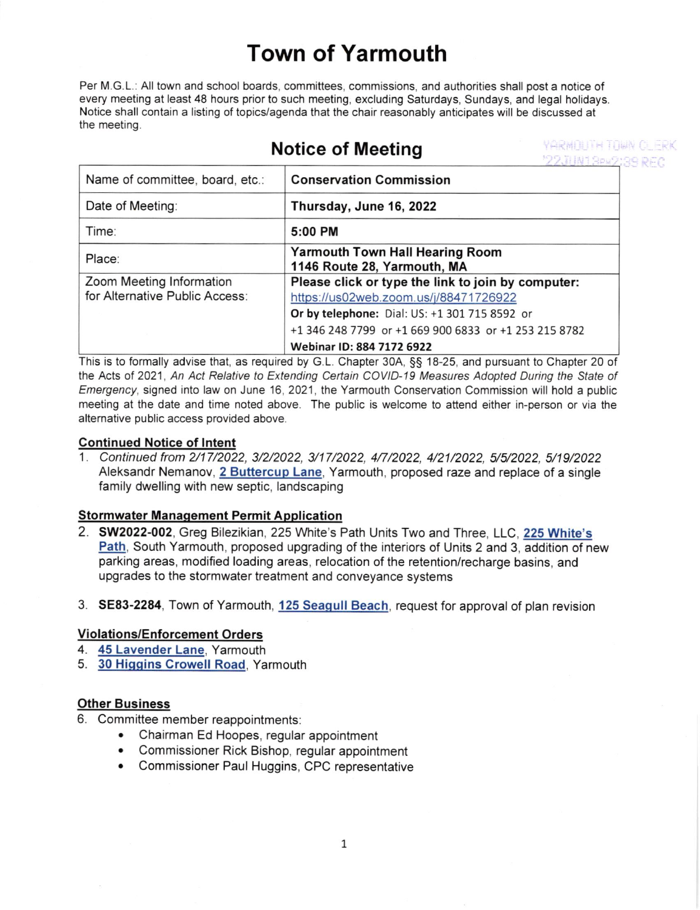# Town of Yarmouth

Per M.G.L.: All town and school boards, committees, commissions, and authorities shall post a notice of every meeting at least 48 hours prior to such meeting, excluding Saturdays, Sundays, and legal holidays. Notice shall contain a listing of topics/agenda that the chair reasonably anticipates will be discussed at the meeting.

## Notice of Meeting

*YARMOUTH TOWN CLERK* "22JUN13PM2:39 RFC

| Name of committee, board, etc.:                            | <b>Conservation Commission</b>                                                                                                                                                                                                     |
|------------------------------------------------------------|------------------------------------------------------------------------------------------------------------------------------------------------------------------------------------------------------------------------------------|
| Date of Meeting:                                           | Thursday, June 16, 2022                                                                                                                                                                                                            |
| Time:                                                      | 5:00 PM                                                                                                                                                                                                                            |
| Place:                                                     | <b>Yarmouth Town Hall Hearing Room</b><br>1146 Route 28, Yarmouth, MA                                                                                                                                                              |
| Zoom Meeting Information<br>for Alternative Public Access: | Please click or type the link to join by computer:<br>https://us02web.zoom.us/j/88471726922<br>Or by telephone: Dial: US: +1 301 715 8592 or<br>+1 346 248 7799 or +1 669 900 6833 or +1 253 215 8782<br>Webinar ID: 884 7172 6922 |

This is to formally advise that, as required by G.L. Chapter 30A, SS 18-25, and pursuant to Chapter 20 of the Acts of 2021, An Act Relative to Extending Certain COVID-19 Measures Adopted During the State of Emergency, signed into law on June 16,2021, the Yarmouth Conservation Commission will hold a public meeting at the date and time noted above. The public is welcome to attend either in-person or via the alternative public access provided above.

### Continued Notice of lntent

1. Continued from 2/17/2022, 3/2/2022, 3/17/2022, 4/7/2022, 4/21/2022, 5/5/2022, 5/19/2022 Aleksandr Nemanov, 2 Buttercup Lane, Yarmouth, proposed raze and replace of a single family dwelling with new septic, landscaping

### **Stormwater Management Permit Application**

- 2. 5W2022-002, Greg Bilezikian, 225 White's Path Units Two and Three, LLC, <sup>225</sup>White's Path, South Yarmouth, proposed upgrading of the interiors of Units 2 and 3, addition of new parking areas, modified loading areas, relocation of the retention/recharge basins, and upgrades to the stormwater treatment and conveyance systems
- 3. SE83-2284, Town of Yarmouth, 125 Seaqull Beach, request for approval of plan revision

#### **Violations/Enforcement Orders**

- 4. 45 Lavender Lane, Yarmouth
- 5. 30 Higgins Crowell Road, Yarmouth

#### **Other Business**

- 6. Committee member reappointments:
	- Chairman Ed Hoopes, regular appointment
	- . Commissioner Rick Bishop, regular appointment
	- . Commissioner Paul Huggins, CPC representative